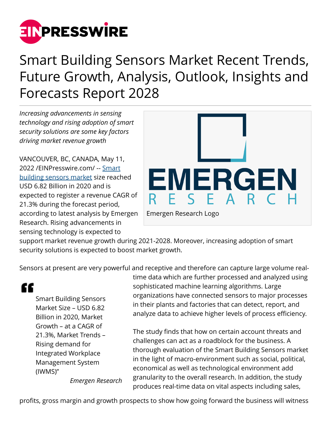

## Smart Building Sensors Market Recent Trends, Future Growth, Analysis, Outlook, Insights and Forecasts Report 2028

*Increasing advancements in sensing technology and rising adoption of smart security solutions are some key factors driving market revenue growth*

VANCOUVER, BC, CANADA, May 11, 2022 /[EINPresswire.com](http://www.einpresswire.com)/ -- [Smart](https://www.emergenresearch.com/industry-report/smart-building-sensors-market) [building sensors market](https://www.emergenresearch.com/industry-report/smart-building-sensors-market) size reached USD 6.82 Billion in 2020 and is expected to register a revenue CAGR of 21.3% during the forecast period, according to latest analysis by Emergen Research. Rising advancements in sensing technology is expected to



support market revenue growth during 2021-2028. Moreover, increasing adoption of smart security solutions is expected to boost market growth.

Sensors at present are very powerful and receptive and therefore can capture large volume real-

"

Smart Building Sensors Market Size – USD 6.82 Billion in 2020, Market Growth – at a CAGR of 21.3%, Market Trends – Rising demand for Integrated Workplace Management System (IWMS)"

time data which are further processed and analyzed using sophisticated machine learning algorithms. Large organizations have connected sensors to major processes in their plants and factories that can detect, report, and analyze data to achieve higher levels of process efficiency.

The study finds that how on certain account threats and challenges can act as a roadblock for the business. A thorough evaluation of the Smart Building Sensors market in the light of macro-environment such as social, political, economical as well as technological environment add granularity to the overall research. In addition, the study produces real-time data on vital aspects including sales,

*Emergen Research*

profits, gross margin and growth prospects to show how going forward the business will witness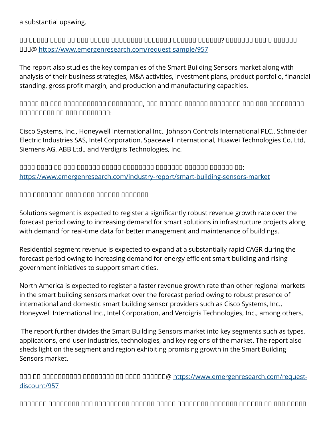## a substantial upswing.

ᵁᵂ ᵂᵁᵁᵂᵂ ᵂᵂᵂᵁ ᵂᵂ ᵂᵂᵁ ᵁᵂᵁᵂᵂ ᵀᵂᵂᵂᵁᵂᵂᵂ ᵁᵁᵂᵂᵂᵂᵂ ᵂᵁᵂᵂᵁᵂ ᵂᵂᵂᵃᵂᵂ? ᵁᵁᵂᵂᵁᵂᵂ ᵁᵂᵂ ᵁ ᵁᵁᵂᵂᵂᵁ ᵂᵂᵃ@<https://www.emergenresearch.com/request-sample/957>

The report also studies the key companies of the Smart Building Sensors market along with analysis of their business strategies, M&A activities, investment plans, product portfolio, financial standing, gross profit margin, and production and manufacturing capacities.

 $\Box$  $\Box$ 

Cisco Systems, Inc., Honeywell International Inc., Johnson Controls International PLC., Schneider Electric Industries SAS, Intel Corporation, Spacewell International, Huawei Technologies Co. Ltd, Siemens AG, ABB Ltd., and Verdigris Technologies, Inc.

ᵁᵁᵁᵁ ᵂᵂᵂᵁ ᵂᵂ ᵂᵂᵁ ᵂᵂᵂᵁᵁᵂ ᵁᵂᵁᵂᵂ ᵀᵂᵂᵂᵁᵂᵂᵂ ᵁᵁᵂᵂᵂᵂᵂ ᵂᵁᵂᵂᵁᵂ ᵂᵁᵂᵂᵂᵂ ᵁᵂ: <https://www.emergenresearch.com/industry-report/smart-building-sensors-market>

 $\Box$ 

Solutions segment is expected to register a significantly robust revenue growth rate over the forecast period owing to increasing demand for smart solutions in infrastructure projects along with demand for real-time data for better management and maintenance of buildings.

Residential segment revenue is expected to expand at a substantially rapid CAGR during the forecast period owing to increasing demand for energy efficient smart building and rising government initiatives to support smart cities.

North America is expected to register a faster revenue growth rate than other regional markets in the smart building sensors market over the forecast period owing to robust presence of international and domestic smart building sensor providers such as Cisco Systems, Inc., Honeywell International Inc., Intel Corporation, and Verdigris Technologies, Inc., among others.

 The report further divides the Smart Building Sensors market into key segments such as types, applications, end-user industries, technologies, and key regions of the market. The report also sheds light on the segment and region exhibiting promising growth in the Smart Building Sensors market.

ᵀᵁᵂ ᵁᵂ ᵀᵂᵂᵂᵁᵂᵂᵂᵂᵁ ᵀᵂᵂᵁᵂᵂᵂᵂ ᵂᵂ ᵂᵂᵂᵂ ᵁᵁᵂᵂᵂᵂ@ [https://www.emergenresearch.com/request](https://www.emergenresearch.com/request-discount/957)[discount/957](https://www.emergenresearch.com/request-discount/957)

ᵀᵂᵁᵂᵂᵁᵂ ᵁᵁᵂᵁᵁᵂᵁᵂ ᵂᵁᵂ ᵂᵁᵂᵂᵁᵂᵂᵁᵁ ᵂᵂᵂᵁᵁᵂ ᵂᵂᵁᵂᵂ ᵁᵂᵂᵂᵁᵂᵂᵂ ᵂᵁᵂᵂᵂᵂᵂ ᵂᵁᵂᵂᵁᵂ ᵂᵂ ᵂᵂᵁ ᵁᵁᵂᵂᵂ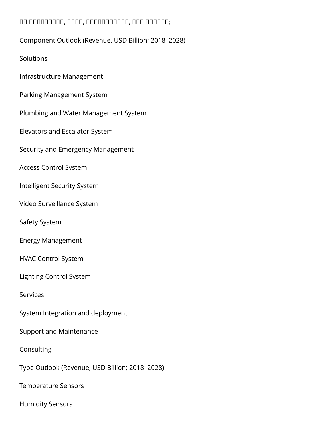## ᵂᵁ ᵁᵂᵂᵂᵂᵂᵁᵂᵂ, ᵂᵃᵂᵁ, ᵁᵂᵂᵂᵂᵁᵁᵂᵂᵂᵂ, ᵁᵂᵁ ᵂᵁᵂᵂᵂᵂ:

**Solutions** 

Infrastructure Management

Parking Management System

Plumbing and Water Management System

Elevators and Escalator System

Security and Emergency Management

Access Control System

Intelligent Security System

Video Surveillance System

Safety System

Energy Management

HVAC Control System

Lighting Control System

Services

System Integration and deployment

Support and Maintenance

Consulting

Type Outlook (Revenue, USD Billion; 2018–2028)

Temperature Sensors

Humidity Sensors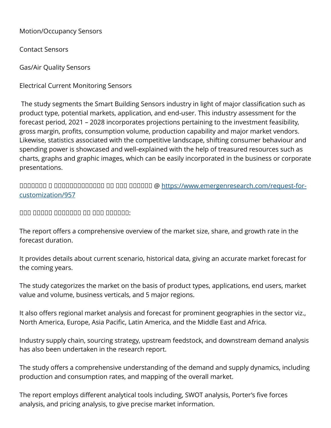Motion/Occupancy Sensors

Contact Sensors

Gas/Air Quality Sensors

Electrical Current Monitoring Sensors

 The study segments the Smart Building Sensors industry in light of major classification such as product type, potential markets, application, and end-user. This industry assessment for the forecast period, 2021 – 2028 incorporates projections pertaining to the investment feasibility, gross margin, profits, consumption volume, production capability and major market vendors. Likewise, statistics associated with the competitive landscape, shifting consumer behaviour and spending power is showcased and well-explained with the help of treasured resources such as charts, graphs and graphic images, which can be easily incorporated in the business or corporate presentations.

ᵁᵁᵂᵂᵁᵂᵂ ᵁ ᵁᵂᵂᵂᵂᵂᵂᵃᵁᵂᵂᵂᵂ ᵂᵁ ᵂᵂᵁ ᵂᵁᵂᵂᵂᵂ @ [https://www.emergenresearch.com/request-for](https://www.emergenresearch.com/request-for-customization/957)[customization/957](https://www.emergenresearch.com/request-for-customization/957)

 $\Box$ 

The report offers a comprehensive overview of the market size, share, and growth rate in the forecast duration.

It provides details about current scenario, historical data, giving an accurate market forecast for the coming years.

The study categorizes the market on the basis of product types, applications, end users, market value and volume, business verticals, and 5 major regions.

It also offers regional market analysis and forecast for prominent geographies in the sector viz., North America, Europe, Asia Pacific, Latin America, and the Middle East and Africa.

Industry supply chain, sourcing strategy, upstream feedstock, and downstream demand analysis has also been undertaken in the research report.

The study offers a comprehensive understanding of the demand and supply dynamics, including production and consumption rates, and mapping of the overall market.

The report employs different analytical tools including, SWOT analysis, Porter's five forces analysis, and pricing analysis, to give precise market information.